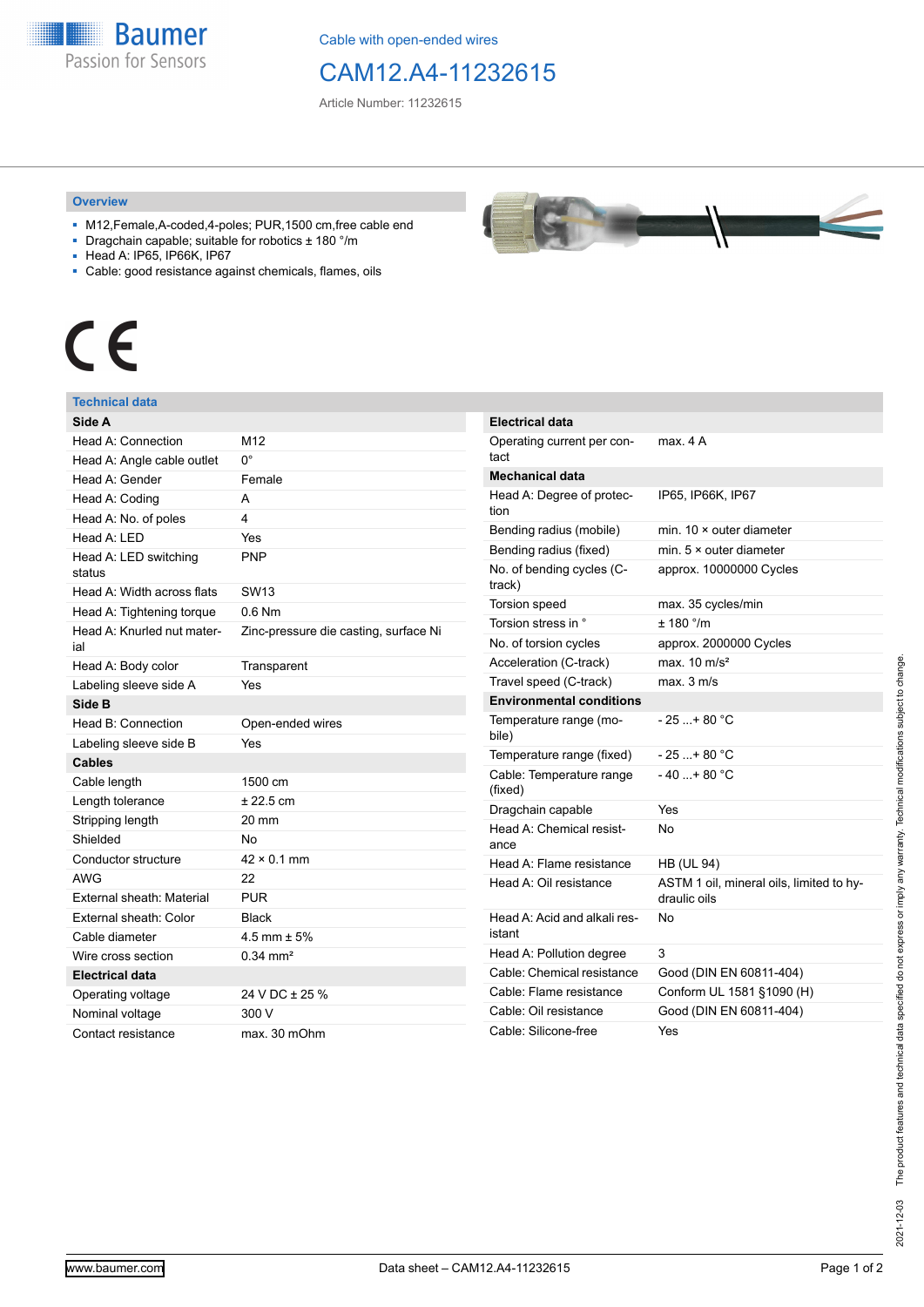**Baumer** Passion for Sensors

Cable with open-ended wires

## CAM12.A4-11232615

Article Number: 11232615

## **Overview**

- M12,Female,A-coded,4-poles; PUR,1500 cm,free cable end
- Dragchain capable; suitable for robotics ± 180 °/m
- Head A: IP65, IP66K, IP67
- Cable: good resistance against chemicals, flames, oils



## **Technical data**

| Side A                            |                                       | E                 |
|-----------------------------------|---------------------------------------|-------------------|
| Head A: Connection                | M12                                   | C                 |
| Head A: Angle cable outlet        | $0^{\circ}$                           | t                 |
| Head A: Gender                    | Female                                | N                 |
| Head A: Coding                    | A                                     | ŀ                 |
| Head A: No. of poles              | 4                                     | ti                |
| Head A: LED                       | Yes                                   | E                 |
| Head A: LED switching<br>status   | <b>PNP</b>                            | E<br>N            |
| Head A: Width across flats        | SW <sub>13</sub>                      | tı                |
| Head A: Tightening torque         | $0.6$ Nm                              | Ī                 |
| Head A: Knurled nut mater-<br>ial | Zinc-pressure die casting, surface Ni | ı<br>N            |
| Head A: Body color                | Transparent                           | A                 |
| Labeling sleeve side A            | Yes                                   | I                 |
| Side B                            |                                       | E                 |
| Head B: Connection                | Open-ended wires                      | T                 |
| Labeling sleeve side B            | Yes                                   | b                 |
| <b>Cables</b>                     |                                       | J                 |
| Cable length                      | 1500 cm                               | $\mathsf{C}$<br>( |
| Length tolerance                  | $± 22.5$ cm                           | D                 |
| Stripping length                  | 20 mm                                 | ŀ                 |
| Shielded                          | No                                    | а                 |
| Conductor structure               | $42 \times 0.1$ mm                    | H                 |
| <b>AWG</b>                        | 22                                    | ŀ                 |
| External sheath: Material         | <b>PUR</b>                            |                   |
| External sheath: Color            | <b>Black</b>                          | H                 |
| Cable diameter                    | 4.5 mm $\pm$ 5%                       | i                 |
| Wire cross section                | $0.34 \text{ mm}^2$                   | H                 |
| <b>Electrical data</b>            |                                       | C                 |
| Operating voltage                 | 24 V DC ± 25 %                        | C                 |
| Nominal voltage                   | 300 V                                 | C                 |
| Contact resistance                | max. 30 mOhm                          | C                 |

| $\overline{\phantom{a}}$<br><b>CONTRACTOR</b><br><b><i><u>CONTRACTORS</u></i></b><br><b>CONTRACTOR</b><br><b>OF LIGHT BUYER STATE</b><br><b>STANDARD COMPANY</b><br><b>Continued by Continued Bank</b><br><b><i>CONTRACTOR</i></b><br><b>Construction of the American State</b><br><b>Control of Control of Control of Con-</b><br><b>NATIONAL CONTRACTORY OF A</b><br><b>The collection of the Collection</b><br><b>Marian Marian Avenue</b> |  |
|-----------------------------------------------------------------------------------------------------------------------------------------------------------------------------------------------------------------------------------------------------------------------------------------------------------------------------------------------------------------------------------------------------------------------------------------------|--|
|-----------------------------------------------------------------------------------------------------------------------------------------------------------------------------------------------------------------------------------------------------------------------------------------------------------------------------------------------------------------------------------------------------------------------------------------------|--|

| Electrical data                        |                                                          |
|----------------------------------------|----------------------------------------------------------|
| Operating current per con-<br>tact     | max. 4 A                                                 |
| <b>Mechanical data</b>                 |                                                          |
| Head A: Degree of protec-<br>tion      | IP65, IP66K, IP67                                        |
| Bending radius (mobile)                | min. $10 \times$ outer diameter                          |
| Bending radius (fixed)                 | min. $5 \times$ outer diameter                           |
| No. of bending cycles (C-<br>track)    | approx. 10000000 Cycles                                  |
| <b>Torsion speed</b>                   | max. 35 cycles/min                                       |
| Torsion stress in °                    | ± 180 °/m                                                |
| No. of torsion cycles                  | approx. 2000000 Cycles                                   |
| Acceleration (C-track)                 | max. $10 \text{ m/s}^2$                                  |
| Travel speed (C-track)                 | max.3 m/s                                                |
| <b>Environmental conditions</b>        |                                                          |
| Temperature range (mo-<br>bile)        | $-25$ + 80 °C                                            |
| Temperature range (fixed)              | $-25+80 °C$                                              |
| Cable: Temperature range<br>(fixed)    | $-40+80 °C$                                              |
| Dragchain capable                      | Yes                                                      |
| Head A: Chemical resist-<br>ance       | No                                                       |
| Head A: Flame resistance               | <b>HB (UL 94)</b>                                        |
| Head A: Oil resistance                 | ASTM 1 oil, mineral oils, limited to hy-<br>draulic oils |
| Head A: Acid and alkali res-<br>istant | No                                                       |
| Head A: Pollution degree               | 3                                                        |
| Cable: Chemical resistance             | Good (DIN EN 60811-404)                                  |
| Cable: Flame resistance                | Conform UL 1581 §1090 (H)                                |
| Cable: Oil resistance                  | Good (DIN EN 60811-404)                                  |
| Cable: Silicone-free                   | Yes                                                      |